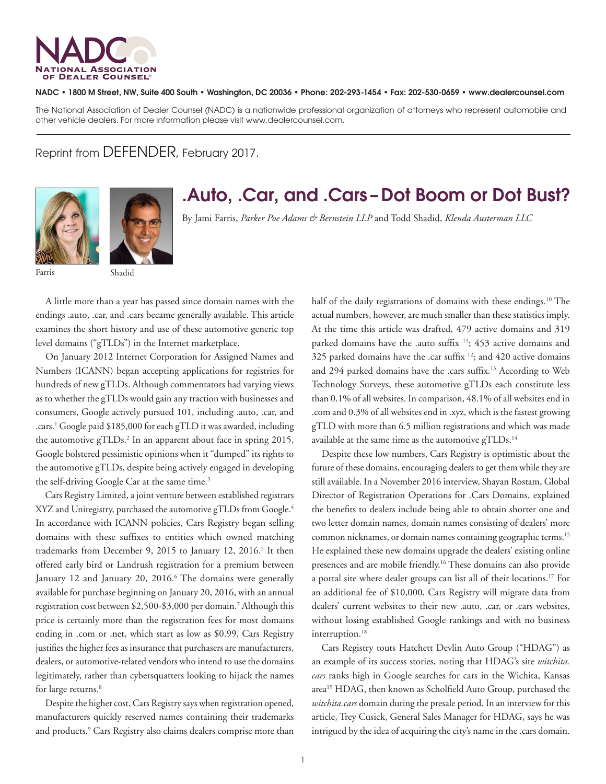

## NADC • 1800 M Street, NW, Suite 400 South • Washington, DC 20036 • Phone: 202-293-1454 • Fax: 202-530-0659 • www.dealercounsel.com

The National Association of Dealer Counsel (NADC) is a nationwide professional organization of attorneys who represent automobile and other vehicle dealers. For more information please visit www.dealercounsel.com.

Reprint from DEFENDER, February 2017.





## .Auto, .Car, and .Cars –Dot Boom or Dot Bust?

By Jami Farris, *Parker Poe Adams & Bernstein LLP* and Todd Shadid, *Klenda Austerman LLC*

A little more than a year has passed since domain names with the endings .auto, .car, and .cars became generally available. This article examines the short history and use of these automotive generic top level domains ("gTLDs") in the Internet marketplace.

On January 2012 Internet Corporation for Assigned Names and Numbers (ICANN) began accepting applications for registries for hundreds of new gTLDs. Although commentators had varying views as to whether the gTLDs would gain any traction with businesses and consumers, Google actively pursued 101, including .auto, .car, and .cars.<sup>1</sup> Google paid \$185,000 for each gTLD it was awarded, including the automotive gTLDs.<sup>2</sup> In an apparent about face in spring 2015, Google bolstered pessimistic opinions when it "dumped" its rights to the automotive gTLDs, despite being actively engaged in developing the self-driving Google Car at the same time.<sup>3</sup>

Cars Registry Limited, a joint venture between established registrars XYZ and Uniregistry, purchased the automotive gTLDs from Google.<sup>4</sup> In accordance with ICANN policies, Cars Registry began selling domains with these suffixes to entities which owned matching trademarks from December 9, 2015 to January 12, 2016.<sup>5</sup> It then offered early bird or Landrush registration for a premium between January 12 and January 20, 2016.<sup>6</sup> The domains were generally available for purchase beginning on January 20, 2016, with an annual registration cost between \$2,500-\$3,000 per domain.7 Although this price is certainly more than the registration fees for most domains ending in .com or .net, which start as low as \$0.99, Cars Registry justifies the higher fees as insurance that purchasers are manufacturers, dealers, or automotive-related vendors who intend to use the domains legitimately, rather than cybersquatters looking to hijack the names for large returns.<sup>8</sup>

Despite the higher cost, Cars Registry says when registration opened, manufacturers quickly reserved names containing their trademarks and products.<sup>9</sup> Cars Registry also claims dealers comprise more than half of the daily registrations of domains with these endings.<sup>10</sup> The actual numbers, however, are much smaller than these statistics imply. At the time this article was drafted, 479 active domains and 319 parked domains have the .auto suffix <sup>11</sup>; 453 active domains and 325 parked domains have the .car suffix 12; and 420 active domains and 294 parked domains have the .cars suffix.<sup>13</sup> According to Web Technology Surveys, these automotive gTLDs each constitute less than 0.1% of all websites. In comparison, 48.1% of all websites end in .com and 0.3% of all websites end in .xyz, which is the fastest growing gTLD with more than 6.5 million registrations and which was made available at the same time as the automotive gTLDs.<sup>14</sup>

Despite these low numbers, Cars Registry is optimistic about the future of these domains, encouraging dealers to get them while they are still available. In a November 2016 interview, Shayan Rostam, Global Director of Registration Operations for .Cars Domains, explained the benefits to dealers include being able to obtain shorter one and two letter domain names, domain names consisting of dealers' more common nicknames, or domain names containing geographic terms.15 He explained these new domains upgrade the dealers' existing online presences and are mobile friendly.16 These domains can also provide a portal site where dealer groups can list all of their locations.17 For an additional fee of \$10,000, Cars Registry will migrate data from dealers' current websites to their new .auto, .car, or .cars websites, without losing established Google rankings and with no business interruption.<sup>18</sup>

Cars Registry touts Hatchett Devlin Auto Group ("HDAG") as an example of its success stories, noting that HDAG's site *witchita. cars* ranks high in Google searches for cars in the Wichita, Kansas area19 HDAG, then known as Scholfield Auto Group, purchased the *witchita.cars* domain during the presale period. In an interview for this article, Trey Cusick, General Sales Manager for HDAG, says he was intrigued by the idea of acquiring the city's name in the .cars domain.